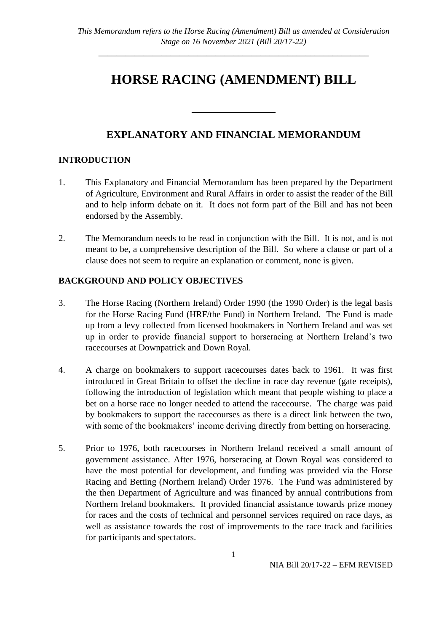# **HORSE RACING (AMENDMENT) BILL**

## **EXPLANATORY AND FINANCIAL MEMORANDUM**

\_\_\_\_\_\_\_\_\_\_\_\_\_\_\_\_

## **INTRODUCTION**

- 1. This Explanatory and Financial Memorandum has been prepared by the Department of Agriculture, Environment and Rural Affairs in order to assist the reader of the Bill and to help inform debate on it. It does not form part of the Bill and has not been endorsed by the Assembly.
- 2. The Memorandum needs to be read in conjunction with the Bill. It is not, and is not meant to be, a comprehensive description of the Bill. So where a clause or part of a clause does not seem to require an explanation or comment, none is given.

## **BACKGROUND AND POLICY OBJECTIVES**

- 3. The Horse Racing (Northern Ireland) Order 1990 (the 1990 Order) is the legal basis for the Horse Racing Fund (HRF/the Fund) in Northern Ireland. The Fund is made up from a levy collected from licensed bookmakers in Northern Ireland and was set up in order to provide financial support to horseracing at Northern Ireland's two racecourses at Downpatrick and Down Royal.
- 4. A charge on bookmakers to support racecourses dates back to 1961. It was first introduced in Great Britain to offset the decline in race day revenue (gate receipts), following the introduction of legislation which meant that people wishing to place a bet on a horse race no longer needed to attend the racecourse. The charge was paid by bookmakers to support the racecourses as there is a direct link between the two, with some of the bookmakers' income deriving directly from betting on horseracing.
- 5. Prior to 1976, both racecourses in Northern Ireland received a small amount of government assistance. After 1976, horseracing at Down Royal was considered to have the most potential for development, and funding was provided via the Horse Racing and Betting (Northern Ireland) Order 1976. The Fund was administered by the then Department of Agriculture and was financed by annual contributions from Northern Ireland bookmakers. It provided financial assistance towards prize money for races and the costs of technical and personnel services required on race days, as well as assistance towards the cost of improvements to the race track and facilities for participants and spectators.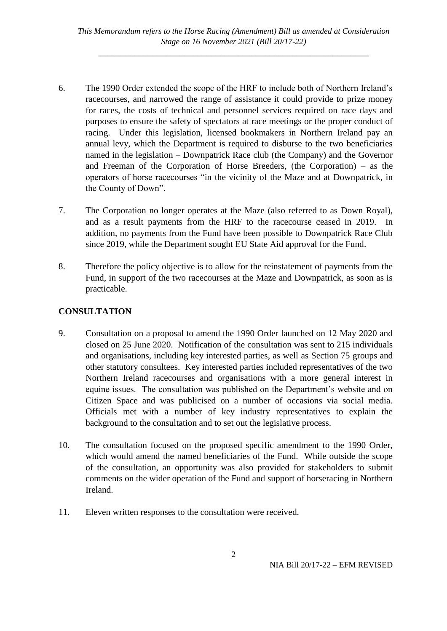- 6. The 1990 Order extended the scope of the HRF to include both of Northern Ireland's racecourses, and narrowed the range of assistance it could provide to prize money for races, the costs of technical and personnel services required on race days and purposes to ensure the safety of spectators at race meetings or the proper conduct of racing. Under this legislation, licensed bookmakers in Northern Ireland pay an annual levy, which the Department is required to disburse to the two beneficiaries named in the legislation – Downpatrick Race club (the Company) and the Governor and Freeman of the Corporation of Horse Breeders, (the Corporation) – as the operators of horse racecourses "in the vicinity of the Maze and at Downpatrick, in the County of Down".
- 7. The Corporation no longer operates at the Maze (also referred to as Down Royal), and as a result payments from the HRF to the racecourse ceased in 2019. In addition, no payments from the Fund have been possible to Downpatrick Race Club since 2019, while the Department sought EU State Aid approval for the Fund.
- 8. Therefore the policy objective is to allow for the reinstatement of payments from the Fund, in support of the two racecourses at the Maze and Downpatrick, as soon as is practicable.

## **CONSULTATION**

- 9. Consultation on a proposal to amend the 1990 Order launched on 12 May 2020 and closed on 25 June 2020. Notification of the consultation was sent to 215 individuals and organisations, including key interested parties, as well as Section 75 groups and other statutory consultees. Key interested parties included representatives of the two Northern Ireland racecourses and organisations with a more general interest in equine issues. The consultation was published on the Department's website and on Citizen Space and was publicised on a number of occasions via social media. Officials met with a number of key industry representatives to explain the background to the consultation and to set out the legislative process.
- 10. The consultation focused on the proposed specific amendment to the 1990 Order, which would amend the named beneficiaries of the Fund. While outside the scope of the consultation, an opportunity was also provided for stakeholders to submit comments on the wider operation of the Fund and support of horseracing in Northern Ireland.
- 11. Eleven written responses to the consultation were received.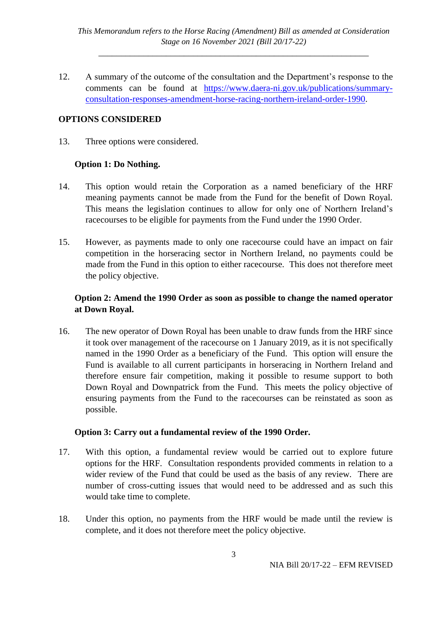12. A summary of the outcome of the consultation and the Department's response to the comments can be found at [https://www.daera-ni.gov.uk/publications/summary](https://www.daera-ni.gov.uk/publications/summary-consultation-responses-amendment-horse-racing-northern-ireland-order-1990)[consultation-responses-amendment-horse-racing-northern-ireland-order-1990.](https://www.daera-ni.gov.uk/publications/summary-consultation-responses-amendment-horse-racing-northern-ireland-order-1990)

#### **OPTIONS CONSIDERED**

13. Three options were considered.

#### **Option 1: Do Nothing.**

- 14. This option would retain the Corporation as a named beneficiary of the HRF meaning payments cannot be made from the Fund for the benefit of Down Royal. This means the legislation continues to allow for only one of Northern Ireland's racecourses to be eligible for payments from the Fund under the 1990 Order.
- 15. However, as payments made to only one racecourse could have an impact on fair competition in the horseracing sector in Northern Ireland, no payments could be made from the Fund in this option to either racecourse. This does not therefore meet the policy objective.

## **Option 2: Amend the 1990 Order as soon as possible to change the named operator at Down Royal.**

16. The new operator of Down Royal has been unable to draw funds from the HRF since it took over management of the racecourse on 1 January 2019, as it is not specifically named in the 1990 Order as a beneficiary of the Fund. This option will ensure the Fund is available to all current participants in horseracing in Northern Ireland and therefore ensure fair competition, making it possible to resume support to both Down Royal and Downpatrick from the Fund. This meets the policy objective of ensuring payments from the Fund to the racecourses can be reinstated as soon as possible.

## **Option 3: Carry out a fundamental review of the 1990 Order.**

- 17. With this option, a fundamental review would be carried out to explore future options for the HRF. Consultation respondents provided comments in relation to a wider review of the Fund that could be used as the basis of any review. There are number of cross-cutting issues that would need to be addressed and as such this would take time to complete.
- 18. Under this option, no payments from the HRF would be made until the review is complete, and it does not therefore meet the policy objective.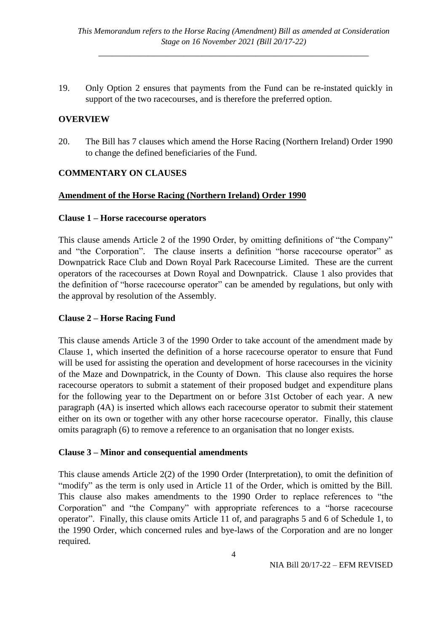19. Only Option 2 ensures that payments from the Fund can be re-instated quickly in support of the two racecourses, and is therefore the preferred option.

#### **OVERVIEW**

20. The Bill has 7 clauses which amend the Horse Racing (Northern Ireland) Order 1990 to change the defined beneficiaries of the Fund.

#### **COMMENTARY ON CLAUSES**

#### **Amendment of the Horse Racing (Northern Ireland) Order 1990**

#### **Clause 1 – Horse racecourse operators**

This clause amends Article 2 of the 1990 Order, by omitting definitions of "the Company" and "the Corporation". The clause inserts a definition "horse racecourse operator" as Downpatrick Race Club and Down Royal Park Racecourse Limited. These are the current operators of the racecourses at Down Royal and Downpatrick. Clause 1 also provides that the definition of "horse racecourse operator" can be amended by regulations, but only with the approval by resolution of the Assembly.

#### **Clause 2 – Horse Racing Fund**

This clause amends Article 3 of the 1990 Order to take account of the amendment made by Clause 1, which inserted the definition of a horse racecourse operator to ensure that Fund will be used for assisting the operation and development of horse racecourses in the vicinity of the Maze and Downpatrick, in the County of Down. This clause also requires the horse racecourse operators to submit a statement of their proposed budget and expenditure plans for the following year to the Department on or before 31st October of each year. A new paragraph (4A) is inserted which allows each racecourse operator to submit their statement either on its own or together with any other horse racecourse operator. Finally, this clause omits paragraph (6) to remove a reference to an organisation that no longer exists.

#### **Clause 3 – Minor and consequential amendments**

This clause amends Article 2(2) of the 1990 Order (Interpretation), to omit the definition of "modify" as the term is only used in Article 11 of the Order, which is omitted by the Bill. This clause also makes amendments to the 1990 Order to replace references to "the Corporation" and "the Company" with appropriate references to a "horse racecourse operator". Finally, this clause omits Article 11 of, and paragraphs 5 and 6 of Schedule 1, to the 1990 Order, which concerned rules and bye-laws of the Corporation and are no longer required.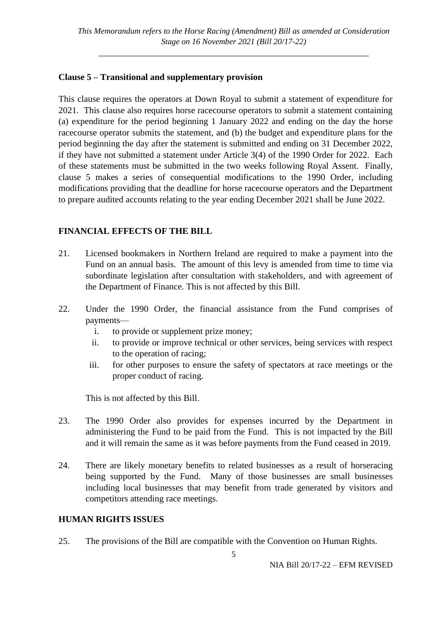## **Clause 5 – Transitional and supplementary provision**

This clause requires the operators at Down Royal to submit a statement of expenditure for 2021. This clause also requires horse racecourse operators to submit a statement containing (a) expenditure for the period beginning 1 January 2022 and ending on the day the horse racecourse operator submits the statement, and (b) the budget and expenditure plans for the period beginning the day after the statement is submitted and ending on 31 December 2022, if they have not submitted a statement under Article 3(4) of the 1990 Order for 2022. Each of these statements must be submitted in the two weeks following Royal Assent. Finally, clause 5 makes a series of consequential modifications to the 1990 Order, including modifications providing that the deadline for horse racecourse operators and the Department to prepare audited accounts relating to the year ending December 2021 shall be June 2022.

## **FINANCIAL EFFECTS OF THE BILL**

- 21. Licensed bookmakers in Northern Ireland are required to make a payment into the Fund on an annual basis. The amount of this levy is amended from time to time via subordinate legislation after consultation with stakeholders, and with agreement of the Department of Finance. This is not affected by this Bill.
- 22. Under the 1990 Order, the financial assistance from the Fund comprises of payments
	- i. to provide or supplement prize money;
	- ii. to provide or improve technical or other services, being services with respect to the operation of racing;
	- iii. for other purposes to ensure the safety of spectators at race meetings or the proper conduct of racing.

This is not affected by this Bill.

- 23. The 1990 Order also provides for expenses incurred by the Department in administering the Fund to be paid from the Fund. This is not impacted by the Bill and it will remain the same as it was before payments from the Fund ceased in 2019.
- 24. There are likely monetary benefits to related businesses as a result of horseracing being supported by the Fund. Many of those businesses are small businesses including local businesses that may benefit from trade generated by visitors and competitors attending race meetings.

## **HUMAN RIGHTS ISSUES**

25. The provisions of the Bill are compatible with the Convention on Human Rights.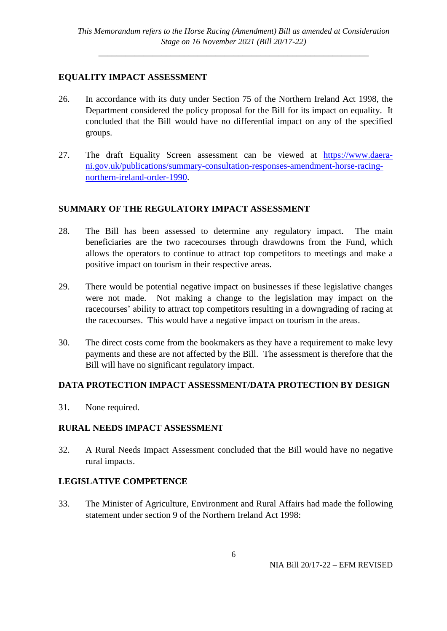## **EQUALITY IMPACT ASSESSMENT**

- 26. In accordance with its duty under Section 75 of the Northern Ireland Act 1998, the Department considered the policy proposal for the Bill for its impact on equality. It concluded that the Bill would have no differential impact on any of the specified groups.
- 27. The draft Equality Screen assessment can be viewed at [https://www.daera](https://www.daera-ni.gov.uk/publications/summary-consultation-responses-amendment-horse-racing-northern-ireland-order-1990)[ni.gov.uk/publications/summary-consultation-responses-amendment-horse-racing](https://www.daera-ni.gov.uk/publications/summary-consultation-responses-amendment-horse-racing-northern-ireland-order-1990)[northern-ireland-order-1990.](https://www.daera-ni.gov.uk/publications/summary-consultation-responses-amendment-horse-racing-northern-ireland-order-1990)

## **SUMMARY OF THE REGULATORY IMPACT ASSESSMENT**

- 28. The Bill has been assessed to determine any regulatory impact. The main beneficiaries are the two racecourses through drawdowns from the Fund, which allows the operators to continue to attract top competitors to meetings and make a positive impact on tourism in their respective areas.
- 29. There would be potential negative impact on businesses if these legislative changes were not made. Not making a change to the legislation may impact on the racecourses' ability to attract top competitors resulting in a downgrading of racing at the racecourses. This would have a negative impact on tourism in the areas.
- 30. The direct costs come from the bookmakers as they have a requirement to make levy payments and these are not affected by the Bill. The assessment is therefore that the Bill will have no significant regulatory impact.

## **DATA PROTECTION IMPACT ASSESSMENT/DATA PROTECTION BY DESIGN**

31. None required.

## **RURAL NEEDS IMPACT ASSESSMENT**

32. A Rural Needs Impact Assessment concluded that the Bill would have no negative rural impacts.

## **LEGISLATIVE COMPETENCE**

33. The Minister of Agriculture, Environment and Rural Affairs had made the following statement under section 9 of the Northern Ireland Act 1998: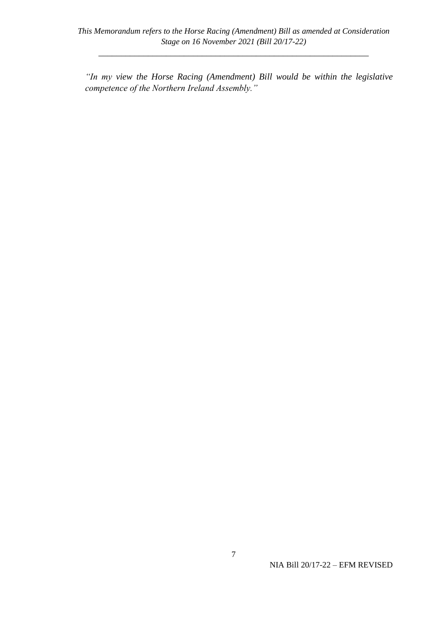*"In my view the Horse Racing (Amendment) Bill would be within the legislative competence of the Northern Ireland Assembly."*